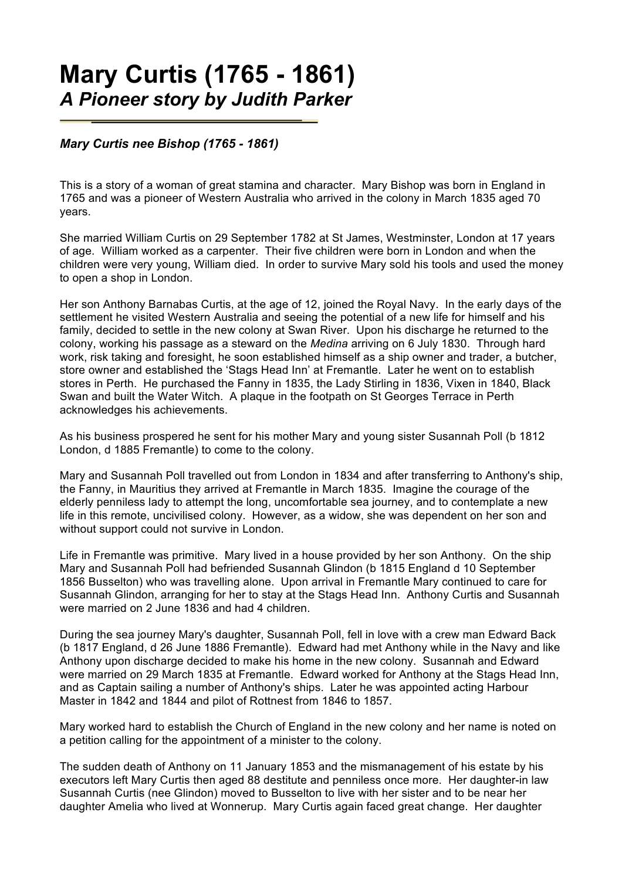## **Mary Curtis (1765 - 1861)** *A Pioneer story by Judith Parker*

## *Mary Curtis nee Bishop (1765 - 1861)*

This is a story of a woman of great stamina and character. Mary Bishop was born in England in 1765 and was a pioneer of Western Australia who arrived in the colony in March 1835 aged 70 years.

She married William Curtis on 29 September 1782 at St James, Westminster, London at 17 years of age. William worked as a carpenter. Their five children were born in London and when the children were very young, William died. In order to survive Mary sold his tools and used the money to open a shop in London.

Her son Anthony Barnabas Curtis, at the age of 12, joined the Royal Navy. In the early days of the settlement he visited Western Australia and seeing the potential of a new life for himself and his family, decided to settle in the new colony at Swan River. Upon his discharge he returned to the colony, working his passage as a steward on the *Medina* arriving on 6 July 1830. Through hard work, risk taking and foresight, he soon established himself as a ship owner and trader, a butcher, store owner and established the 'Stags Head Inn' at Fremantle. Later he went on to establish stores in Perth. He purchased the Fanny in 1835, the Lady Stirling in 1836, Vixen in 1840, Black Swan and built the Water Witch. A plaque in the footpath on St Georges Terrace in Perth acknowledges his achievements.

As his business prospered he sent for his mother Mary and young sister Susannah Poll (b 1812 London, d 1885 Fremantle) to come to the colony.

Mary and Susannah Poll travelled out from London in 1834 and after transferring to Anthony's ship, the Fanny, in Mauritius they arrived at Fremantle in March 1835. Imagine the courage of the elderly penniless lady to attempt the long, uncomfortable sea journey, and to contemplate a new life in this remote, uncivilised colony. However, as a widow, she was dependent on her son and without support could not survive in London.

Life in Fremantle was primitive. Mary lived in a house provided by her son Anthony. On the ship Mary and Susannah Poll had befriended Susannah Glindon (b 1815 England d 10 September 1856 Busselton) who was travelling alone. Upon arrival in Fremantle Mary continued to care for Susannah Glindon, arranging for her to stay at the Stags Head Inn. Anthony Curtis and Susannah were married on 2 June 1836 and had 4 children.

During the sea journey Mary's daughter, Susannah Poll, fell in love with a crew man Edward Back (b 1817 England, d 26 June 1886 Fremantle). Edward had met Anthony while in the Navy and like Anthony upon discharge decided to make his home in the new colony. Susannah and Edward were married on 29 March 1835 at Fremantle. Edward worked for Anthony at the Stags Head Inn, and as Captain sailing a number of Anthony's ships. Later he was appointed acting Harbour Master in 1842 and 1844 and pilot of Rottnest from 1846 to 1857.

Mary worked hard to establish the Church of England in the new colony and her name is noted on a petition calling for the appointment of a minister to the colony.

The sudden death of Anthony on 11 January 1853 and the mismanagement of his estate by his executors left Mary Curtis then aged 88 destitute and penniless once more. Her daughter-in law Susannah Curtis (nee Glindon) moved to Busselton to live with her sister and to be near her daughter Amelia who lived at Wonnerup. Mary Curtis again faced great change. Her daughter